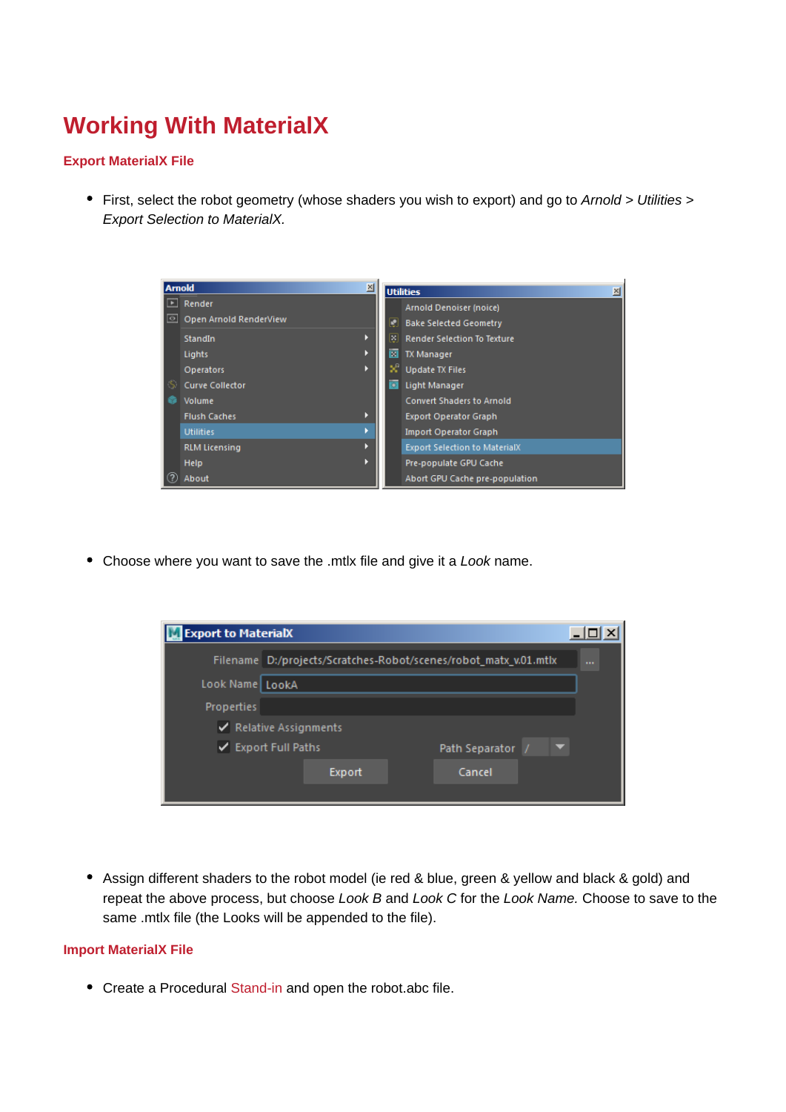## **Working With MaterialX**

## **Export MaterialX File**

• First, select the robot geometry (whose shaders you wish to export) and go to Arnold > Utilities > Export Selection to MaterialX.



• Choose where you want to save the .mtlx file and give it a Look name.

| <b>Export to MaterialX</b> |                                                                  |        |                |        |  |  |
|----------------------------|------------------------------------------------------------------|--------|----------------|--------|--|--|
|                            | Filename D:/projects/Scratches-Robot/scenes/robot_matx_v.01.mtlx |        |                |        |  |  |
| Look Name LookA            |                                                                  |        |                |        |  |  |
| <b>Properties</b>          |                                                                  |        |                |        |  |  |
| Relative Assignments       |                                                                  |        |                |        |  |  |
| ✔ Export Full Paths        |                                                                  |        | Path Separator |        |  |  |
|                            |                                                                  | Export |                | Cancel |  |  |
|                            |                                                                  |        |                |        |  |  |

Assign different shaders to the robot model (ie red & blue, green & yellow and black & gold) and repeat the above process, but choose Look B and Look C for the Look Name. Choose to save to the same .mtlx file (the Looks will be appended to the file).

## **Import MaterialX File**

Create a Procedural [Stand-in](https://docs.arnoldrenderer.com/display/A5AFMUG/Stand-ins) and open the robot.abc file.